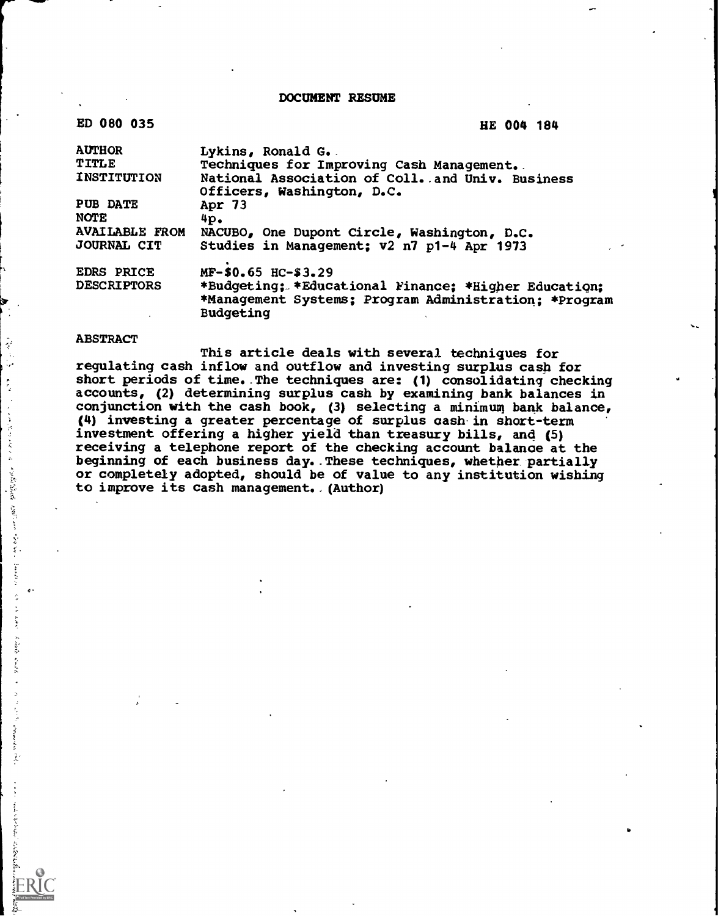DOCUMENT RESUME

| ED 080 035                     | HE 004 184                                                                                                                 |
|--------------------------------|----------------------------------------------------------------------------------------------------------------------------|
| <b>AUTHOR</b>                  | Lykins, Ronald G.                                                                                                          |
| TITLE                          | Techniques for Improving Cash Management.                                                                                  |
| <b>INSTITUTION</b>             | National Association of Coll. and Univ. Business<br>Officers, Washington, D.C.                                             |
| <b>PUB DATE</b><br><b>NOTE</b> | Apr 73<br>4p.                                                                                                              |
| <b>AVAILABLE FROM</b>          | NACUBO, One Dupont Circle, Washington, D.C.                                                                                |
| <b>JOURNAL CIT</b>             | Studies in Management; v2 n7 p1-4 Apr 1973                                                                                 |
| <b>EDRS PRICE</b>              | MF-\$0.65 HC-\$3.29                                                                                                        |
| <b>DESCRIPTORS</b>             | *Budgeting; *Educational Finance; *Higher Education;<br>*Management Systems; Program Administration; *Program<br>Budgeting |

### ABSTRACT

E

 $\label{eq:2} \mathcal{A}(\mathcal{E}) \leq \mathcal{E}(\mathcal{E}) \leq \mathcal{E}(\mathcal{E})$  $\hat{\boldsymbol{\cdot} }$  $\sim 100$  keV  $\rm{M_{\odot}}$ 

**Andre** X  $\label{eq:1} \mathcal{F}^{\mathcal{M} \times m} \mathcal{F}^{\mathcal{M} \times m}$ 

 $\label{eq:1} \mathbf{v}_i \mathbf{y}_i = \mathbf{v}_i \mathbf{y}_i + \mathbf{y}_i \mathbf{y}_i$  $\frac{2}{\pi}$ 

これともですが、ひとのもだから

Ļ,  $\ddot{\phantom{a}}$  ,  $\mathbb{Q}$  .  $\begin{array}{c} \mu \\ \mu \\ \nu \end{array}$ 

 $\label{eq:1} \begin{array}{l} \mathcal{L}_{\mathcal{A}}(\mathbf{v},\mathbf{v})=\mathcal{L}_{\mathcal{A}}(\mathbf{v},\mathbf{v})=\mathcal{L}_{\mathcal{A}}(\mathbf{v},\mathbf{v})=\mathcal{L}_{\mathcal{A}}(\mathbf{v},\mathbf{v})=\mathcal{L}_{\mathcal{A}}(\mathbf{v},\mathbf{v})=\mathcal{L}_{\mathcal{A}}(\mathbf{v},\mathbf{v})=\mathcal{L}_{\mathcal{A}}(\mathbf{v},\mathbf{v})=\mathcal{L}_{\mathcal{A}}(\mathbf{v},\mathbf{v})=\mathcal{L}_{\mathcal{A}}(\math$ 

This article deals with several techniques for regulating cash inflow and outflow and investing surplus cash for short periods of time..The techniques are: (1) consolidating checking accounts, (2) determining surplus cash by examining bank balances in conjunction with the cash book, (3) selecting a minimum bank balance, (4) investing a greater percentage of surplus cash in short-term investment offering a higher yield than treasury bills, and (5) receiving a telephone report of the checking account balance at the beginning of each business day..These techniques, whether partially or completely adopted, should be of value to any institution wishing to improve its cash management. (Author)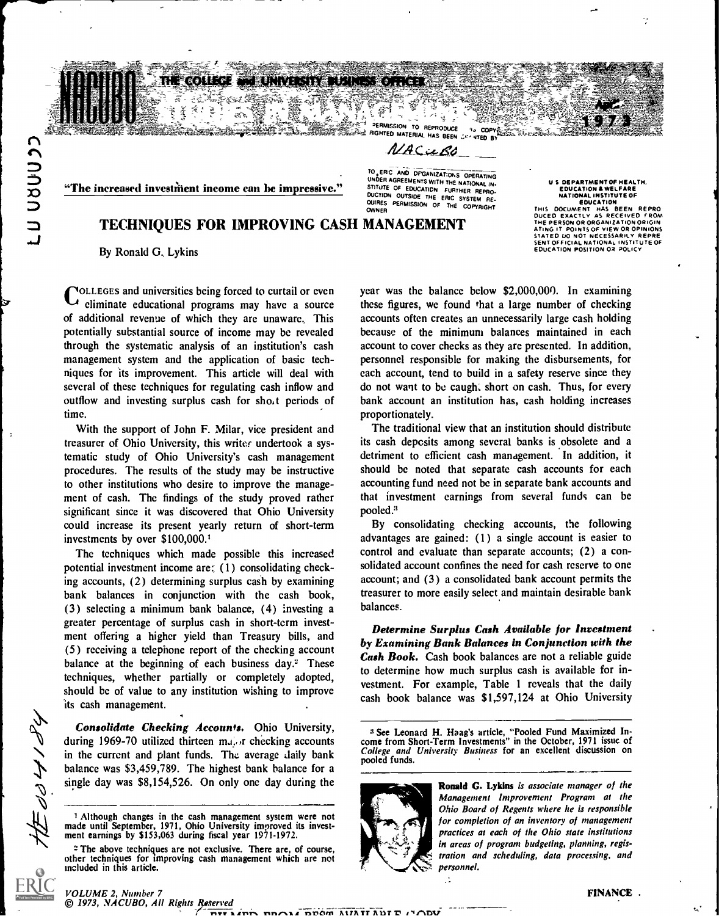a) Hel 

こつ つめつつしい

# TECHNIQUES FOR IMPROVING CASH MANAGEMENT THE PERSON OR ORGANIZATION ORIGINI

By Ronald G., Lykins

**VOLLEGES and universities being forced to curtail or even** eliminate educational programs may have a source of additional revenue of which they are unaware. This potentially substantial source of income may be revealed through the systematic analysis of an institution's cash management system and the application of basic techniques for its improvement. This article will deal with several of these techniques for regulating cash inflow and outflow and investing surplus cash for shot periods of time.

With the support of John F. Milar, vice president and treasurer of Ohio University, this writer undertook a systematic study of Ohio University's cash management procedures. The results of the study may be instructive to other institutions who desire to improve the management of cash. The findings of the study proved rather significant since it was discovered that Ohio University could increase its present yearly return of short-term investments by over \$100,000.1

The techniques which made possible this increased potential investment income are:  $(1)$  consolidating checking accounts, (2) determining surplus cash by examining bank balances in conjunction with the cash book, (3) selecting a minimum bank balance, (4) investing a greater percentage of surplus cash in short-term investment offering a higher yield than Treasury bills, and (5) receiving a telephone report of the checking account balance at the beginning of each business day. $2$  These techniques, whether partially or completely adopted, should be of value to any institution wishing to improve its cash management.

Consolidate Checking Accounts. Ohio University, during 1969-70 utilized thirteen mains checking accounts in the current and plant funds. The average daily bank balance was \$3,459,789. The highest bank balance for a single day was \$8,154,526. On only one day during the

WER AGREEMENTS WITH THE NATIONAL IN.<br>"The increased investment income can be impressive." STITUTE OF EDUCATION FURTHER REPRO-TO.ERICAND OFGAN12AT:ONS OPERATING STITUTE OF EDUCATION FURTHER REPRO- DUCTION OUTSIDE THE ERIC SYSTEM RE-<br>OUICTION OUTSIDE THE ERIC SYSTEM RE-<br>OWNER PERMISSION OF THE COPYRIGHT

THET PERMISSION TO REPRODUCE <sup>4</sup>3 COPY REPRODUCE <sup>4</sup><br>**COPY RIGHTED MATERIAL HAS BEEN LET VITED B**  $MACuBC$ 

ने से दू

US DEPARTMENT OF HEALTH,<br>
EDUCATION & WELFARE<br>
RATIONAL INSTITUTE OF<br>
EDUCATION<br>THIS DOCUMENT HAS BEEN REPRO<br>
DUCED EXACTLY AS RECEIVED FROM THE PERSON OR ORGANIZATION ORIGIN<br>ATING IT POINTS OF VIEW OR OPINIONS<br>STATED 10 NOT NECESSARILY REPRE<br>SENT OFFICIAL NATIONAL INSTITUTE OF<br>EDUCATION POSITION OR POLICY

year was the balance below \$2,000,000. In examining these figures, we found that a large number of checking accounts often creates an unnecessarily large cash holding because of the minimum balances maintained in each account to cover checks as they are presented. In addition, personnel responsible for making the disbursements, for each account, tend to build in a safety reserve since they do not want to be caught short on cash. Thus, for every bank account an institution has, cash holding increases proportionately.

The traditional view that an institution should distribute its cash deposits among several banks is obsolete and a detriment to efficient cash management. In addition, it should be noted that separate cash accounts for each accounting fund need not be in separate bank accounts and that investment earnings from several funds can be pooled."

By consolidating checking accounts, the following advantages are gained: (1) a single account is easier to control and evaluate than separate accounts; (2) a consolidated account confines the need for cash reserve to one account; and (3) a consolidated bank account permits the treasurer to more easily select and maintain desirable bank balances.

Determine Surplus Cash Available for Investment by Examining Bank Balances in Conjunction with the Cash Book. Cash book balances are not a reliable guide to determine how much surplus cash is available for investment. For example, Table <sup>1</sup> reveals that the daily cash book balance was \$1,597,124 at Ohio University

<sup>3</sup> See Leonard H. Haag's article, "Pooled Fund Maximized In- come from Short-Term Investments" in the October, 1971 issue of College and University Business for an excellent discussion on pooled funds.



 $\mathbb{R}^2$ 

Ronald G. Lykins is associate manager of the Management Improvement Program at the Ohio Board of Regents where he is responsible for completion of an inventory of management practices at each of the Ohio state institutions in areas of program budgeting, planning, registration and scheduling, data processing, and personnel.

#### VOLUME 2, Number 7 © 1973, .VACUBO, All Rights Reserved

 $\bar{z}$ dd yn dy

<sup>1</sup> Although changes in the cash management system were not made until September, 1971, Ohio University improved its investment earnings by \$153,063 during fiscal year 1971-1972.

<sup>2</sup> The above techniques are not exclusive. There are, of course, other techniques for improving cash management which are not included in this article.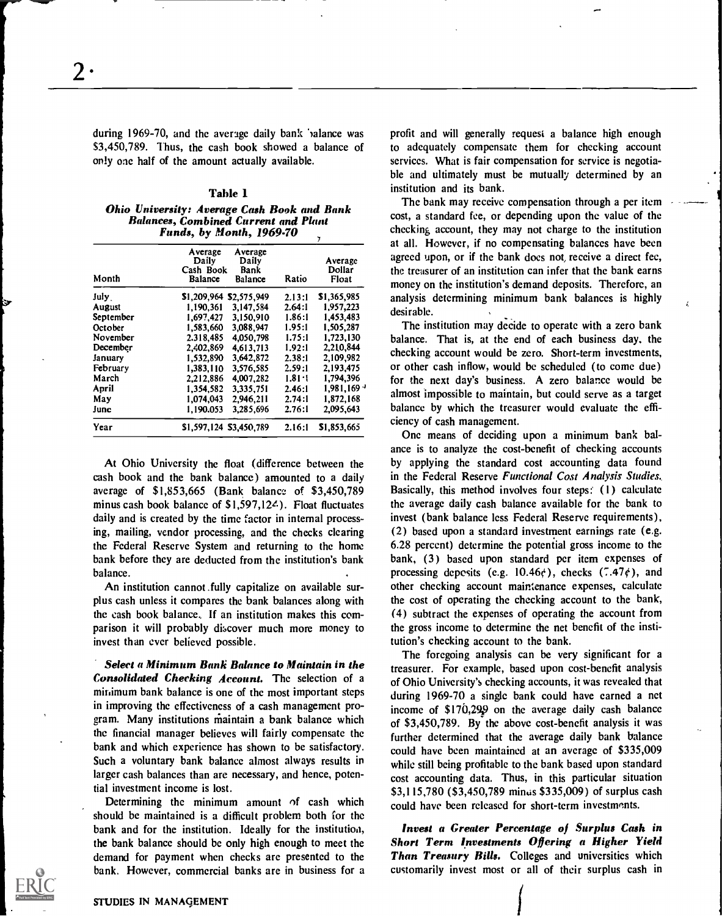during 1969-70, and the average daily bank 'valance was \$3,450,789. Thus, the cash book showed a balance of only one half of the amount actually available.

### Table 1

Ohio University: Average Cash Book and Bank Balances, Combined Current and Plant Funds, by Month, 1969-70

| Month     | Average<br>Average<br>Daily<br>Daily<br>Cash Book<br>Bank<br>Balance<br><b>Balance</b> | Ratio      | Average<br>Dollar<br>Float |
|-----------|----------------------------------------------------------------------------------------|------------|----------------------------|
|           |                                                                                        |            |                            |
| July.     | \$1,209,964 \$2,575,949                                                                | 2.13:1     | \$1,365,985                |
| August    | 1.190.361<br>3.147.584                                                                 | 2.64:1     | 1,957,223                  |
| September | 1,697,427<br>3,150,910                                                                 | 1.86:1     | 1,453,483                  |
| October   | 3.088.947<br>1,583,660                                                                 | 1.95:1     | 1,505,287                  |
| November  | 2.318,485<br>4.050.798                                                                 | 1.75:1     | 1,723,130                  |
| December  | 2,402,869<br>4,613,713                                                                 | 1.92:1     | 2.210,844                  |
| January   | 3,642,872<br>1,532,890                                                                 | 2.38:1     | 2.109.982                  |
| February  | 1,383,110<br>3.576,585                                                                 | 2.59:1     | 2,193,475                  |
| March     | 2.212.886<br>4,007,282                                                                 | $1.81 - 1$ | 1,794,396                  |
| April     | 3,335,751<br>1.354.582                                                                 | 2.46:1     | $1,981,169$ <sup>3</sup>   |
| May       | 1,074,043<br>2,946,211                                                                 | 2.74:1     | 1.872.168                  |
| June      | 1,190.053<br>3.285.696                                                                 | 2.76:1     | 2,095,643                  |
| Year      | \$1,597,124 \$3,450,789                                                                | 2.16:1     | \$1,853,665                |

At Ohio University the float (difference between the cash book and the bank balance) amounted to a daily average of \$1,853,665 (Bank balance of \$3,450,789 minus cash book balance of \$1,597,12<sup>2</sup>.). Float fluctuates daily and is created by the time factor in internal processing, mailing, vendor processing, and the checks clearing the Federal Reserve System and returning to the home bank before they are deducted from the institution's bank balance.

An institution cannot .fully capitalize on available surplus cash unless it compares the bank balances along with the cash book balance. If an institution makes this comparison it will probably discover much more money to invest than ever believed possible.

Select a Minimum Bank Balance to Maintain in the Consolidated Checking Account. The selection of a minimum bank balance is one of the most important steps in improving the effectiveness of a cash management program. Many institutions maintain a bank balance which the financial manager believes will fairly compensate the bank and which experience has shown to be satisfactory. Such a voluntary bank balance almost always results in larger cash balances than are necessary, and hence, potential investment income is lost.

Determining the minimum amount of cash which should be maintained is a difficult problem both for the bank and for the institution. Ideally for the institution, the bank balance should be only high enough to meet the demand for payment when checks are presented to the bank. However, commercial banks are in business for a

profit and will generally request a balance high enough to adequately compensate them for checking account services. What is fair compensation for service is negotiable and ultimately must be mutually determined by an institution and its bank.

The bank may receive compensation through a per item cost, a standard fee, or depending upon the value of the checking account, they may not charge to the institution at all. However, if no compensating balances have been agreed upon, or if the bank does not, receive a direct fee, the treasurer of an institution can infer that the bank earns money on the institution's demand deposits. Therefore, an analysis determining minimum bank balances is highly desirable.

The institution may decide to operate with a zero bank balance. That is, at the end of each business day, the checking account would be zero. Short-term investments, or other cash inflow, would be scheduled (to come due) for the next day's business. A zero balance would be almost impossible to maintain, but could serve as a target balance by which the treasurer would evaluate the efficiency of cash management.

One means of deciding upon a minimum bank balance is to analyze the cost-benefit of checking accounts by applying the standard cost accounting data found in the Federal Reserve Functional Cost Analysis Studies. Basically, this method involves four steps: (I) calculate the average daily cash balance available for the bank to invest (bank balance less Federal Reserve requirements), (2) based upon a standard investment earnings rate (e.g. 6.28 percent) determine the potential gross income to the bank, (3) based upon standard per item expenses of processing deposits (e.g.  $10.46\zeta$ ), checks (7.47 $\zeta$ ), and other checking account maintenance expenses, calculate the cost of operating the checking account to the bank, (4) subtract the expenses of operating the account from the gross income to determine the net benefit of the institution's checking account to the bank.

The foregoing analysis can be very significant for a treasurer. For example, based upon cost-benefit analysis of Ohio University's checking accounts, it was revealed that during 1969-70 a single bank could have earned a net income of  $$170,299$  on the average daily cash balance of \$3,450,789. By the above cost-benefit analysis it was further determined that the average daily bank balance could have been maintained at an average of \$335,009 while still being profitable to the bank based upon standard cost accounting data. Thus, in this particular situation \$3,1 15,780 (\$3,450,789 minus \$335,009) of surplus cash could have been released for short-term investments.

Invest a Greater Percentage of Surplus Cash in Short Term Investments Offering a Higher Yield Than Treasury Bills. Colleges and universities which customarily invest most or all of their surplus cash in

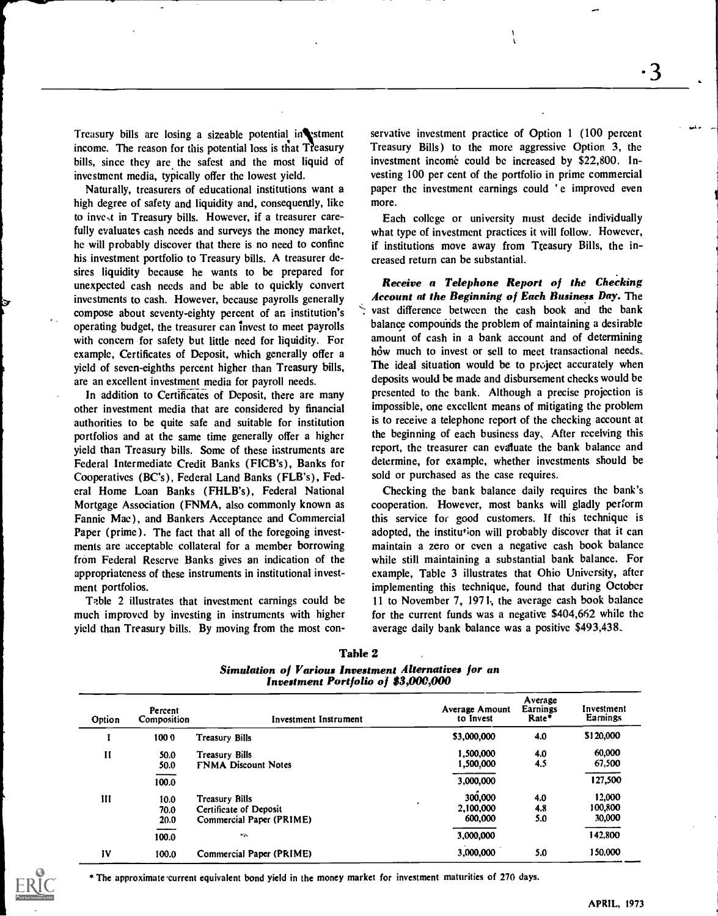Treasury bills are losing a sizeable potential in stment income. The reason for this potential loss is that Treasury bills, since they are the safest and the most liquid of investment media, typically offer the lowest yield.

Naturally, treasurers of educational institutions want a high degree of safety and liquidity and, consequently, like to inve,t in Treasury bills. However, if a treasurer carefully evaluates cash needs and surveys the money market, he will probably discover that there is no need to confine his investment portfolio to Treasury bills. A treasurer desires liquidity because he wants to be prepared for unexpected cash needs and be able to quickly convert investments to cash. However, because payrolls generally compose about seventy-eighty percent of an institution's operating budget, the treasurer can invest to meet payrolls with concern for safety but little need for liquidity. For example, Certificates of Deposit, which generally offer a yield of seven-eighths percent higher than Treasury bills, are an excellent investment media for payroll needs.

In addition to Certificates of Deposit, there are many other investment media that are considered by financial authorities to be quite safe and suitable for institution portfolios and at the same time generally offer a higher yield than Treasury bills. Some of these instruments are Federal Intermediate Credit Banks (FICB's), Banks for Cooperatives (BC's), Federal Land Banks (FLB's), Federal Home Loan Banks (FHLB's), Federal National Mortgage Association (FNMA, also commonly known as Fannie Mae), and Bankers Acceptance and Commercial Paper (prime). The fact that all of the foregoing investments are acceptable collateral for a member borrowing from Federal Reserve Banks gives an indication of the appropriateness of these instruments in institutional investment portfolios.

Table 2 illustrates that investment earnings could be much improved by investing in instruments with higher yield than Treasury bills. By moving from the most con-

servative investment practice of Option 1 (100 percent Treasury Bills) to the more aggressive Option 3, the investment income could be increased by \$22,800. Investing 100 per cent of the portfolio in prime commercial paper the investment earnings could 'e improved even more.

 $\mathbf{t}$ 

Each college or university must decide individually what type of investment practices it will follow. However, if institutions move away from Treasury Bills, the increased return can be substantial.

Receive a Telephone Report of the Checking Account at the Beginning of Each Business Day. The vast difference between the cash book and the bank balance compounds the problem of maintaining a desirable amount of cash in a bank account and of determining how much to invest or sell to meet transactional needs. The ideal situation would be to project accurately when deposits would be made and disbursement checks would be presented to the bank. Although a precise projection is impossible, one excellent means of mitigating the problem is to receive a telephone report of the checking account at the beginning of each business day After receiving this report, the treasurer can evaluate the bank balance and determine, for example, whether investments should be sold or purchased as the case requires.

Checking the bank balance daily requires the bank's cooperation. However, most banks will gladly perform this service for good customers. If this technique is adopted, the institution will probably discover that it can maintain a zero or even a negative cash book balance while still maintaining a substantial bank balance. For example, Table 3 illustrates that Ohio University, after implementing this technique, found that during October 11 to November 7, 1971., the average cash book balance for the current funds was a negative \$404,662 while the average daily bank balance was a positive \$493,438.

| Option        | Percent<br>Composition            | Investment Instrument                                                | Average Amount<br>to Invest     | Average<br>Earnings<br>Rate* | Investment<br><b>Earnings</b> |
|---------------|-----------------------------------|----------------------------------------------------------------------|---------------------------------|------------------------------|-------------------------------|
|               | 1000                              | Treasury Bills                                                       | \$3,000,000                     | 4.0                          | \$120,000                     |
| $\mathbf{H}$  | 50.0<br>50.0                      | <b>Treasury Bills</b><br><b>FNMA Discount Notes</b>                  | 1,500,000<br>1,500,000          | 4.0<br>4.5                   | 60,000<br>67,500              |
|               | 100.0                             |                                                                      | 3,000,000                       |                              | 127,500                       |
| Ш             | 10.0 <sub>1</sub><br>70.0<br>20.0 | Treasury Bills<br>Certificate of Deposit<br>Commercial Paper (PRIME) | 300,000<br>2.100.000<br>600,000 | 4.0<br>4.8<br>5.0            | 12,000<br>100,800<br>30,000   |
|               | 100.0                             | $\sim$                                                               | 3,000,000                       |                              | 142,800                       |
| $\mathbf{IV}$ | 100.0                             | Commercial Paper (PRIME)                                             | 3,000,000                       | 5.0                          | 150,000                       |

Table 2

Simulation of Various Investment Alternatives for an Investment Portfolio of \$3,000,000

\* The approximate 'current equivalent bond yield in the money market for investment maturities of 270 days.